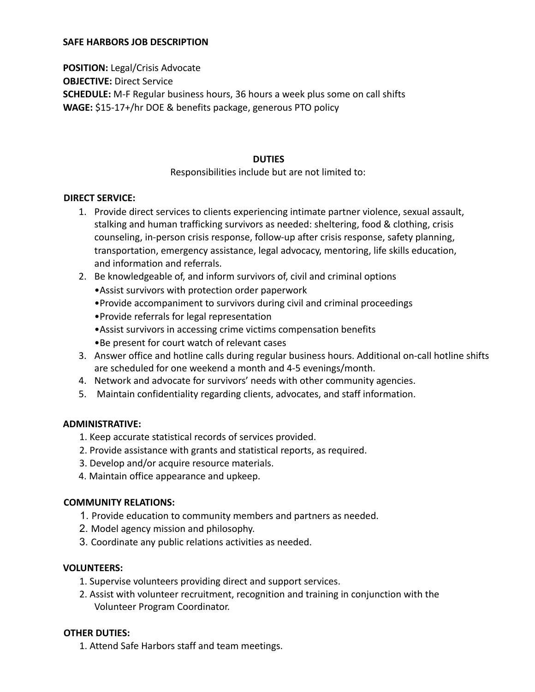#### **SAFE HARBORS JOB DESCRIPTION**

**POSITION:** Legal/Crisis Advocate **OBJECTIVE:** Direct Service **SCHEDULE:** M-F Regular business hours, 36 hours a week plus some on call shifts **WAGE:** \$15-17+/hr DOE & benefits package, generous PTO policy

#### **DUTIES**

# Responsibilities include but are not limited to:

#### **DIRECT SERVICE:**

- 1. Provide direct services to clients experiencing intimate partner violence, sexual assault, stalking and human trafficking survivors as needed: sheltering, food & clothing, crisis counseling, in-person crisis response, follow-up after crisis response, safety planning, transportation, emergency assistance, legal advocacy, mentoring, life skills education, and information and referrals.
- 2. Be knowledgeable of, and inform survivors of, civil and criminal options
	- •Assist survivors with protection order paperwork
	- •Provide accompaniment to survivors during civil and criminal proceedings
	- •Provide referrals for legal representation
	- •Assist survivors in accessing crime victims compensation benefits
	- •Be present for court watch of relevant cases
- 3. Answer office and hotline calls during regular business hours. Additional on-call hotline shifts are scheduled for one weekend a month and 4-5 evenings/month.
- 4. Network and advocate for survivors' needs with other community agencies.
- 5. Maintain confidentiality regarding clients, advocates, and staff information.

# **ADMINISTRATIVE:**

- 1. Keep accurate statistical records of services provided.
- 2. Provide assistance with grants and statistical reports, as required.
- 3. Develop and/or acquire resource materials.
- 4. Maintain office appearance and upkeep.

# **COMMUNITY RELATIONS:**

- 1. Provide education to community members and partners as needed.
- 2. Model agency mission and philosophy.
- 3. Coordinate any public relations activities as needed.

# **VOLUNTEERS:**

- 1. Supervise volunteers providing direct and support services.
- 2. Assist with volunteer recruitment, recognition and training in conjunction with the Volunteer Program Coordinator.

# **OTHER DUTIES:**

1. Attend Safe Harbors staff and team meetings.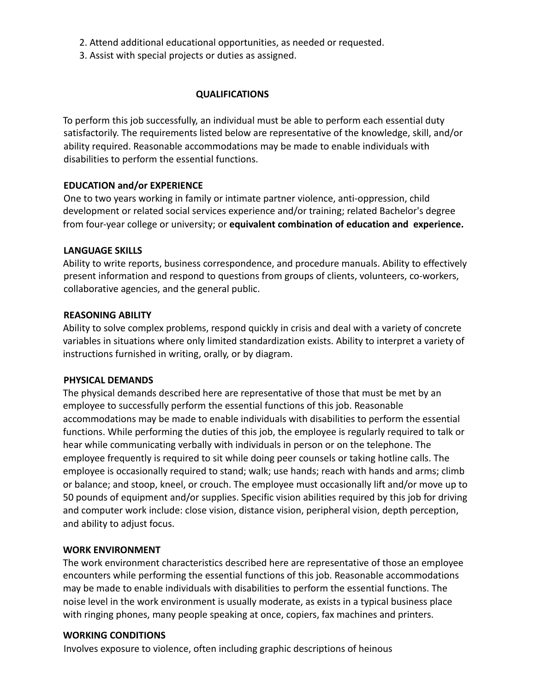- 2. Attend additional educational opportunities, as needed or requested.
- 3. Assist with special projects or duties as assigned.

# **QUALIFICATIONS**

To perform this job successfully, an individual must be able to perform each essential duty satisfactorily. The requirements listed below are representative of the knowledge, skill, and/or ability required. Reasonable accommodations may be made to enable individuals with disabilities to perform the essential functions.

# **EDUCATION and/or EXPERIENCE**

One to two years working in family or intimate partner violence, anti-oppression, child development or related social services experience and/or training; related Bachelor's degree from four-year college or university; or **equivalent combination of education and experience.**

# **LANGUAGE SKILLS**

Ability to write reports, business correspondence, and procedure manuals. Ability to effectively present information and respond to questions from groups of clients, volunteers, co-workers, collaborative agencies, and the general public.

#### **REASONING ABILITY**

Ability to solve complex problems, respond quickly in crisis and deal with a variety of concrete variables in situations where only limited standardization exists. Ability to interpret a variety of instructions furnished in writing, orally, or by diagram.

# **PHYSICAL DEMANDS**

The physical demands described here are representative of those that must be met by an employee to successfully perform the essential functions of this job. Reasonable accommodations may be made to enable individuals with disabilities to perform the essential functions. While performing the duties of this job, the employee is regularly required to talk or hear while communicating verbally with individuals in person or on the telephone. The employee frequently is required to sit while doing peer counsels or taking hotline calls. The employee is occasionally required to stand; walk; use hands; reach with hands and arms; climb or balance; and stoop, kneel, or crouch. The employee must occasionally lift and/or move up to 50 pounds of equipment and/or supplies. Specific vision abilities required by this job for driving and computer work include: close vision, distance vision, peripheral vision, depth perception, and ability to adjust focus.

# **WORK ENVIRONMENT**

The work environment characteristics described here are representative of those an employee encounters while performing the essential functions of this job. Reasonable accommodations may be made to enable individuals with disabilities to perform the essential functions. The noise level in the work environment is usually moderate, as exists in a typical business place with ringing phones, many people speaking at once, copiers, fax machines and printers.

#### **WORKING CONDITIONS**

Involves exposure to violence, often including graphic descriptions of heinous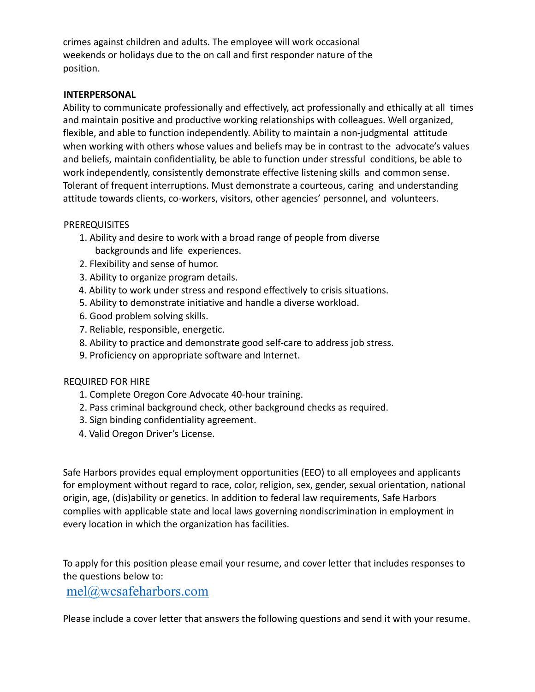crimes against children and adults. The employee will work occasional weekends or holidays due to the on call and first responder nature of the position.

# **INTERPERSONAL**

Ability to communicate professionally and effectively, act professionally and ethically at all times and maintain positive and productive working relationships with colleagues. Well organized, flexible, and able to function independently. Ability to maintain a non-judgmental attitude when working with others whose values and beliefs may be in contrast to the advocate's values and beliefs, maintain confidentiality, be able to function under stressful conditions, be able to work independently, consistently demonstrate effective listening skills and common sense. Tolerant of frequent interruptions. Must demonstrate a courteous, caring and understanding attitude towards clients, co-workers, visitors, other agencies' personnel, and volunteers.

#### PREREQUISITES

- 1. Ability and desire to work with a broad range of people from diverse backgrounds and life experiences.
- 2. Flexibility and sense of humor.
- 3. Ability to organize program details.
- 4. Ability to work under stress and respond effectively to crisis situations.
- 5. Ability to demonstrate initiative and handle a diverse workload.
- 6. Good problem solving skills.
- 7. Reliable, responsible, energetic.
- 8. Ability to practice and demonstrate good self-care to address job stress.
- 9. Proficiency on appropriate software and Internet.

# REQUIRED FOR HIRE

- 1. Complete Oregon Core Advocate 40-hour training.
- 2. Pass criminal background check, other background checks as required.
- 3. Sign binding confidentiality agreement.
- 4. Valid Oregon Driver's License.

Safe Harbors provides equal employment opportunities (EEO) to all employees and applicants for employment without regard to race, color, religion, sex, gender, sexual orientation, national origin, age, (dis)ability or genetics. In addition to federal law requirements, Safe Harbors complies with applicable state and local laws governing nondiscrimination in employment in every location in which the organization has facilities.

To apply for this position please email your resume, and cover letter that includes responses to the questions below to:

# [mel@wcsafeharbors.com](mailto:mel@wcsafeharbors.com)

Please include a cover letter that answers the following questions and send it with your resume.